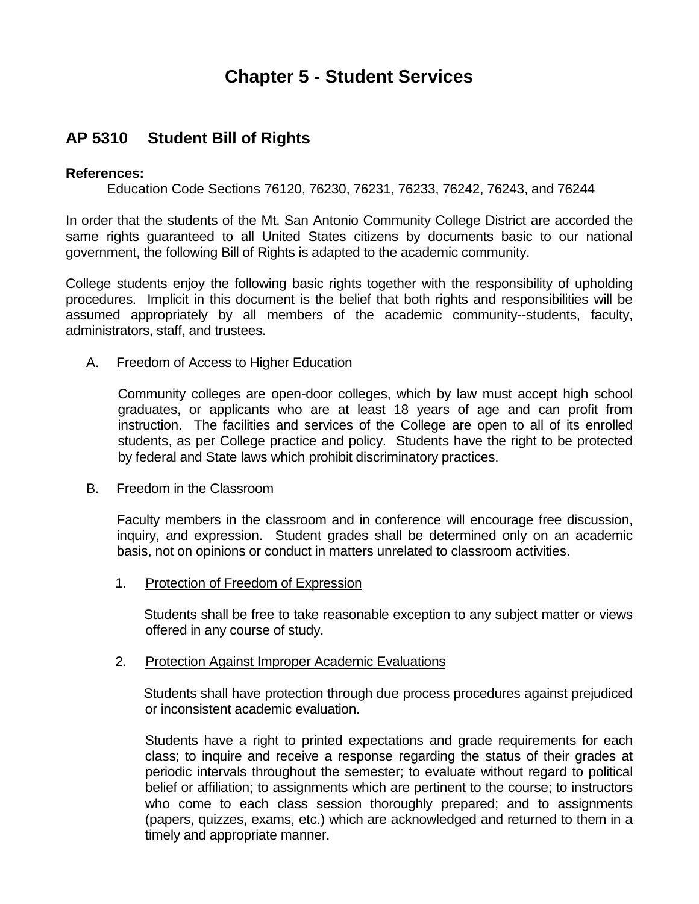# **Chapter 5 - Student Services**

## **AP 5310 Student Bill of Rights**

#### **References:**

Education Code Sections 76120, 76230, 76231, 76233, 76242, 76243, and 76244

 In order that the students of the Mt. San Antonio Community College District are accorded the same rights guaranteed to all United States citizens by documents basic to our national government, the following Bill of Rights is adapted to the academic community.

 College students enjoy the following basic rights together with the responsibility of upholding procedures. Implicit in this document is the belief that both rights and responsibilities will be assumed appropriately by all members of the academic community--students, faculty, administrators, staff, and trustees.

#### A. Freedom of Access to Higher Education

 Community colleges are open-door colleges, which by law must accept high school graduates, or applicants who are at least 18 years of age and can profit from instruction. The facilities and services of the College are open to all of its enrolled students, as per College practice and policy. Students have the right to be protected by federal and State laws which prohibit discriminatory practices.

#### **B.** Freedom in the Classroom

 Faculty members in the classroom and in conference will encourage free discussion, inquiry, and expression. Student grades shall be determined only on an academic basis, not on opinions or conduct in matters unrelated to classroom activities.

1. Protection of Freedom of Expression

 Students shall be free to take reasonable exception to any subject matter or views offered in any course of study.

#### 2. Protection Against Improper Academic Evaluations

 Students shall have protection through due process procedures against prejudiced or inconsistent academic evaluation.

 Students have a right to printed expectations and grade requirements for each class; to inquire and receive a response regarding the status of their grades at periodic intervals throughout the semester; to evaluate without regard to political belief or affiliation; to assignments which are pertinent to the course; to instructors who come to each class session thoroughly prepared; and to assignments (papers, quizzes, exams, etc.) which are acknowledged and returned to them in a timely and appropriate manner.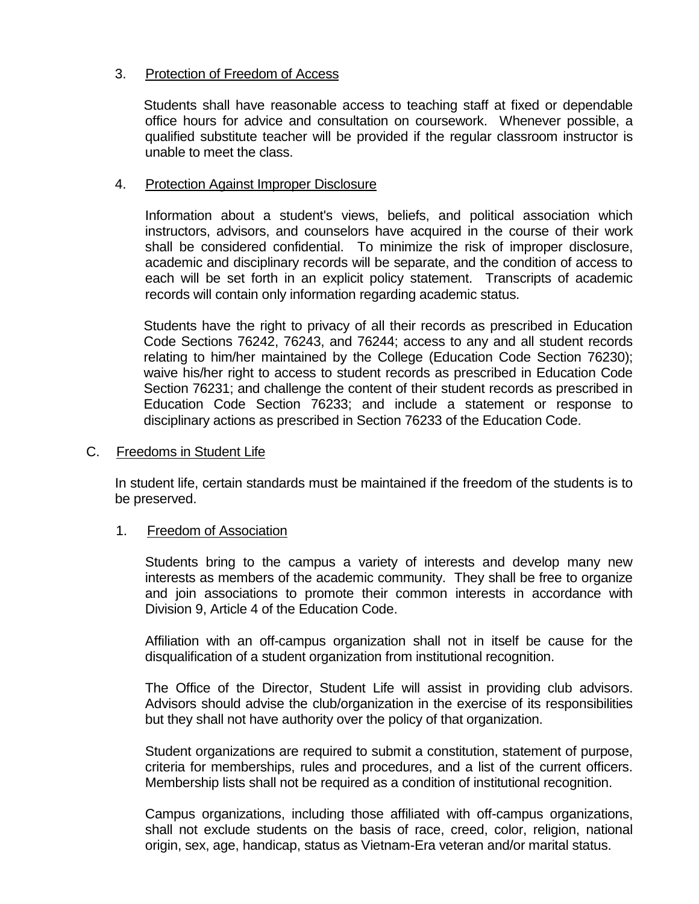#### 3. Protection of Freedom of Access

 Students shall have reasonable access to teaching staff at fixed or dependable office hours for advice and consultation on coursework. Whenever possible, a qualified substitute teacher will be provided if the regular classroom instructor is unable to meet the class.

### 4. Protection Against Improper Disclosure

 Information about a student's views, beliefs, and political association which instructors, advisors, and counselors have acquired in the course of their work shall be considered confidential. To minimize the risk of improper disclosure, academic and disciplinary records will be separate, and the condition of access to each will be set forth in an explicit policy statement. Transcripts of academic records will contain only information regarding academic status.

 Students have the right to privacy of all their records as prescribed in Education Code Sections 76242, 76243, and 76244; access to any and all student records relating to him/her maintained by the College (Education Code Section 76230); waive his/her right to access to student records as prescribed in Education Code Section 76231; and challenge the content of their student records as prescribed in Education Code Section 76233; and include a statement or response to disciplinary actions as prescribed in Section 76233 of the Education Code.

#### C. Freedoms in Student Life

 In student life, certain standards must be maintained if the freedom of the students is to be preserved.

### 1. Freedom of Association

 Students bring to the campus a variety of interests and develop many new interests as members of the academic community. They shall be free to organize and join associations to promote their common interests in accordance with Division 9, Article 4 of the Education Code.

 Affiliation with an off-campus organization shall not in itself be cause for the disqualification of a student organization from institutional recognition.

 The Office of the Director, Student Life will assist in providing club advisors. Advisors should advise the club/organization in the exercise of its responsibilities but they shall not have authority over the policy of that organization.

 Student organizations are required to submit a constitution, statement of purpose, criteria for memberships, rules and procedures, and a list of the current officers. Membership lists shall not be required as a condition of institutional recognition.

 Campus organizations, including those affiliated with off-campus organizations, shall not exclude students on the basis of race, creed, color, religion, national origin, sex, age, handicap, status as Vietnam-Era veteran and/or marital status.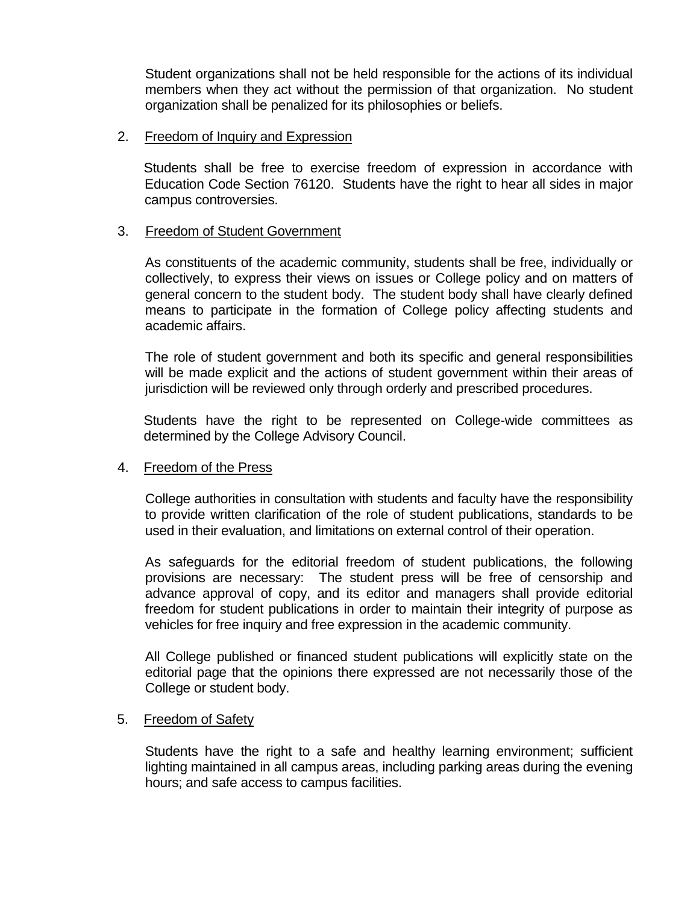Student organizations shall not be held responsible for the actions of its individual members when they act without the permission of that organization. No student organization shall be penalized for its philosophies or beliefs.

#### 2. Freedom of Inquiry and Expression

 Students shall be free to exercise freedom of expression in accordance with Education Code Section 76120. Students have the right to hear all sides in major campus controversies.

#### 3. Freedom of Student Government

 As constituents of the academic community, students shall be free, individually or collectively, to express their views on issues or College policy and on matters of general concern to the student body. The student body shall have clearly defined means to participate in the formation of College policy affecting students and academic affairs.

 The role of student government and both its specific and general responsibilities will be made explicit and the actions of student government within their areas of jurisdiction will be reviewed only through orderly and prescribed procedures.

 Students have the right to be represented on College-wide committees as determined by the College Advisory Council.

#### 4. Freedom of the Press

 College authorities in consultation with students and faculty have the responsibility to provide written clarification of the role of student publications, standards to be used in their evaluation, and limitations on external control of their operation.

 As safeguards for the editorial freedom of student publications, the following provisions are necessary: The student press will be free of censorship and advance approval of copy, and its editor and managers shall provide editorial freedom for student publications in order to maintain their integrity of purpose as vehicles for free inquiry and free expression in the academic community.

 All College published or financed student publications will explicitly state on the editorial page that the opinions there expressed are not necessarily those of the College or student body.

#### 5. Freedom of Safety

 Students have the right to a safe and healthy learning environment; sufficient lighting maintained in all campus areas, including parking areas during the evening hours; and safe access to campus facilities.